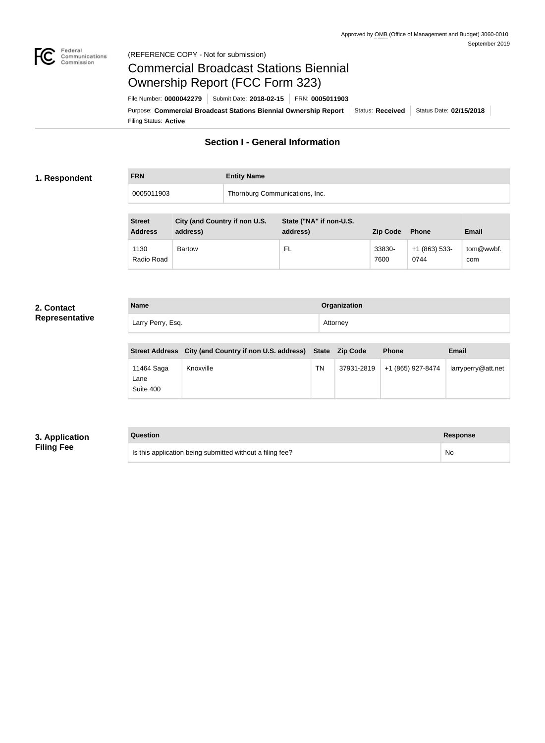

#### Federal<br>Communications<br>Commission (REFERENCE COPY - Not for submission)

# Commercial Broadcast Stations Biennial Ownership Report (FCC Form 323)

Filing Status: **Active** Purpose: Commercial Broadcast Stations Biennial Ownership Report Status: Received Status Date: 02/15/2018 File Number: **0000042279** Submit Date: **2018-02-15** FRN: **0005011903**

### **Section I - General Information**

#### **1. Respondent**

**FRN Entity Name**

0005011903 Thornburg Communications, Inc.

| <b>Street</b><br><b>Address</b> | City (and Country if non U.S.<br>address) | State ("NA" if non-U.S.<br>address) | <b>Zip Code</b> | <b>Phone</b>           | Email            |
|---------------------------------|-------------------------------------------|-------------------------------------|-----------------|------------------------|------------------|
| 1130<br>Radio Road              | <b>Bartow</b>                             | FL.                                 | 33830-<br>7600  | $+1(863)$ 533-<br>0744 | tom@wwbf.<br>com |

#### **2. Contact Representative**

**Name Organization** Larry Perry, Esq. **Attorney** 

|                                 | Street Address City (and Country if non U.S. address) State Zip Code |    |            | <b>Phone</b>      | Email              |
|---------------------------------|----------------------------------------------------------------------|----|------------|-------------------|--------------------|
| 11464 Saga<br>Lane<br>Suite 400 | Knoxville                                                            | ΤN | 37931-2819 | +1 (865) 927-8474 | larryperry@att.net |

#### **3. Application Filing Fee**

**Question Response** Is this application being submitted without a filing fee? No was also been also been also been also been also been also been also been also been also been also been also been also been also been also been also been also be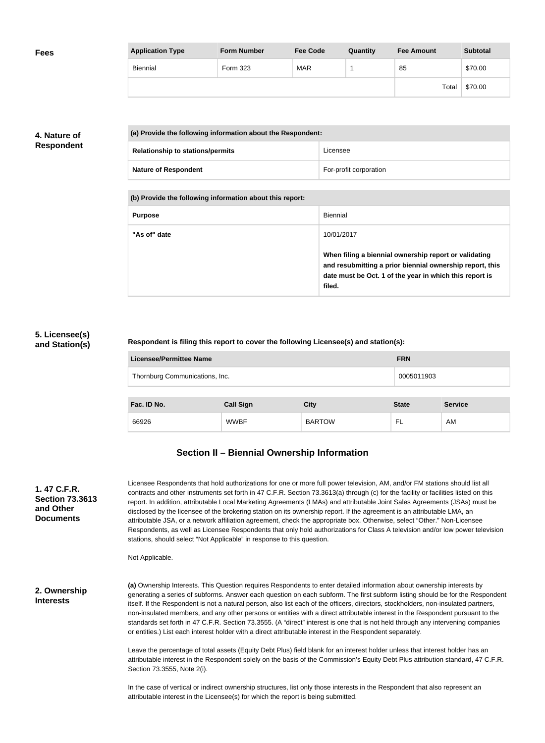| <b>Fees</b> | <b>Application Type</b> | <b>Form Number</b> | <b>Fee Code</b> | Quantity | <b>Fee Amount</b> | <b>Subtotal</b> |
|-------------|-------------------------|--------------------|-----------------|----------|-------------------|-----------------|
|             | Biennial                | Form 323           | <b>MAR</b>      |          | 85                | \$70.00         |
|             |                         |                    |                 |          | Total             | \$70.00         |

#### **4. Nature of Respondent**

| (a) Provide the following information about the Respondent: |                        |  |  |
|-------------------------------------------------------------|------------------------|--|--|
| <b>Relationship to stations/permits</b>                     | Licensee               |  |  |
| <b>Nature of Respondent</b>                                 | For-profit corporation |  |  |

**(b) Provide the following information about this report:**

| <b>Purpose</b> | Biennial                                                                                                                                                                               |
|----------------|----------------------------------------------------------------------------------------------------------------------------------------------------------------------------------------|
| "As of" date   | 10/01/2017                                                                                                                                                                             |
|                | When filing a biennial ownership report or validating<br>and resubmitting a prior biennial ownership report, this<br>date must be Oct. 1 of the year in which this report is<br>filed. |

#### **5. Licensee(s) and Station(s)**

#### **Respondent is filing this report to cover the following Licensee(s) and station(s):**

| <b>Licensee/Permittee Name</b> |                  |               | <b>FRN</b>   |                |  |
|--------------------------------|------------------|---------------|--------------|----------------|--|
| Thornburg Communications, Inc. |                  |               | 0005011903   |                |  |
|                                |                  |               |              |                |  |
| Fac. ID No.                    | <b>Call Sign</b> | <b>City</b>   | <b>State</b> | <b>Service</b> |  |
| 66926                          | <b>WWBF</b>      | <b>BARTOW</b> | FL           | AM             |  |

## **Section II – Biennial Ownership Information**

| 1.47 C.F.R.<br><b>Section 73.3613</b><br>and Other<br><b>Documents</b> | Licensee Respondents that hold authorizations for one or more full power television, AM, and/or FM stations should list all<br>contracts and other instruments set forth in 47 C.F.R. Section 73.3613(a) through (c) for the facility or facilities listed on this<br>report. In addition, attributable Local Marketing Agreements (LMAs) and attributable Joint Sales Agreements (JSAs) must be<br>disclosed by the licensee of the brokering station on its ownership report. If the agreement is an attributable LMA, an<br>attributable JSA, or a network affiliation agreement, check the appropriate box. Otherwise, select "Other." Non-Licensee<br>Respondents, as well as Licensee Respondents that only hold authorizations for Class A television and/or low power television<br>stations, should select "Not Applicable" in response to this question.<br>Not Applicable. |
|------------------------------------------------------------------------|---------------------------------------------------------------------------------------------------------------------------------------------------------------------------------------------------------------------------------------------------------------------------------------------------------------------------------------------------------------------------------------------------------------------------------------------------------------------------------------------------------------------------------------------------------------------------------------------------------------------------------------------------------------------------------------------------------------------------------------------------------------------------------------------------------------------------------------------------------------------------------------|
| 2. Ownership<br><b>Interests</b>                                       | (a) Ownership Interests. This Question requires Respondents to enter detailed information about ownership interests by<br>generating a series of subforms. Answer each question on each subform. The first subform listing should be for the Respondent<br>itself. If the Respondent is not a natural person, also list each of the officers, directors, stockholders, non-insulated partners,<br>non-insulated members, and any other persons or entities with a direct attributable interest in the Respondent pursuant to the<br>standards set forth in 47 C.F.R. Section 73.3555. (A "direct" interest is one that is not held through any intervening companies<br>or entities.) List each interest holder with a direct attributable interest in the Respondent separately.                                                                                                     |
|                                                                        | Leave the percentage of total assets (Equity Debt Plus) field blank for an interest holder unless that interest holder has an<br>attributable interest in the Respondent solely on the basis of the Commission's Equity Debt Plus attribution standard, 47 C.F.R.<br>Section 73.3555, Note 2(i).                                                                                                                                                                                                                                                                                                                                                                                                                                                                                                                                                                                      |
|                                                                        | In the case of vertical or indirect ownership structures, list only those interests in the Respondent that also represent an                                                                                                                                                                                                                                                                                                                                                                                                                                                                                                                                                                                                                                                                                                                                                          |

attributable interest in the Licensee(s) for which the report is being submitted.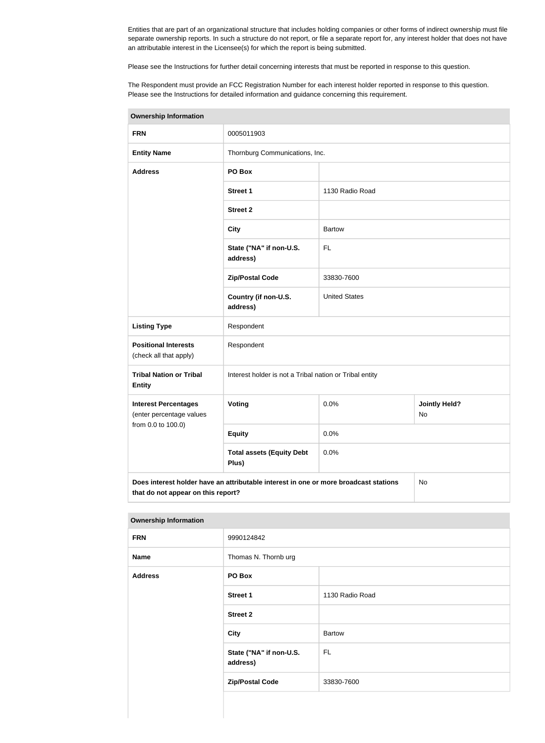Entities that are part of an organizational structure that includes holding companies or other forms of indirect ownership must file separate ownership reports. In such a structure do not report, or file a separate report for, any interest holder that does not have an attributable interest in the Licensee(s) for which the report is being submitted.

Please see the Instructions for further detail concerning interests that must be reported in response to this question.

The Respondent must provide an FCC Registration Number for each interest holder reported in response to this question. Please see the Instructions for detailed information and guidance concerning this requirement.

| <b>Ownership Information</b>                            |                                                                                      |                      |                                   |  |
|---------------------------------------------------------|--------------------------------------------------------------------------------------|----------------------|-----------------------------------|--|
| <b>FRN</b>                                              | 0005011903                                                                           |                      |                                   |  |
| <b>Entity Name</b>                                      | Thornburg Communications, Inc.                                                       |                      |                                   |  |
| <b>Address</b>                                          | PO Box                                                                               |                      |                                   |  |
|                                                         | <b>Street 1</b>                                                                      | 1130 Radio Road      |                                   |  |
|                                                         | <b>Street 2</b>                                                                      |                      |                                   |  |
|                                                         | <b>City</b>                                                                          | <b>Bartow</b>        |                                   |  |
|                                                         | State ("NA" if non-U.S.<br>address)                                                  | <b>FL</b>            |                                   |  |
|                                                         | <b>Zip/Postal Code</b>                                                               | 33830-7600           |                                   |  |
|                                                         | Country (if non-U.S.<br>address)                                                     | <b>United States</b> |                                   |  |
| <b>Listing Type</b>                                     | Respondent                                                                           |                      |                                   |  |
| <b>Positional Interests</b><br>(check all that apply)   | Respondent                                                                           |                      |                                   |  |
| <b>Tribal Nation or Tribal</b><br><b>Entity</b>         | Interest holder is not a Tribal nation or Tribal entity                              |                      |                                   |  |
| <b>Interest Percentages</b><br>(enter percentage values | Voting                                                                               | 0.0%                 | <b>Jointly Held?</b><br><b>No</b> |  |
| from 0.0 to 100.0)                                      | <b>Equity</b>                                                                        | 0.0%                 |                                   |  |
|                                                         | <b>Total assets (Equity Debt</b><br>Plus)                                            | 0.0%                 |                                   |  |
| that do not appear on this report?                      | Does interest holder have an attributable interest in one or more broadcast stations |                      | No                                |  |

#### **Ownership Information**

| <b>FRN</b>     | 9990124842                          |                 |
|----------------|-------------------------------------|-----------------|
| <b>Name</b>    | Thomas N. Thornb urg                |                 |
| <b>Address</b> | PO Box                              |                 |
|                | <b>Street 1</b>                     | 1130 Radio Road |
|                | <b>Street 2</b>                     |                 |
|                | <b>City</b>                         | <b>Bartow</b>   |
|                | State ("NA" if non-U.S.<br>address) | <b>FL</b>       |
|                | <b>Zip/Postal Code</b>              | 33830-7600      |
|                |                                     |                 |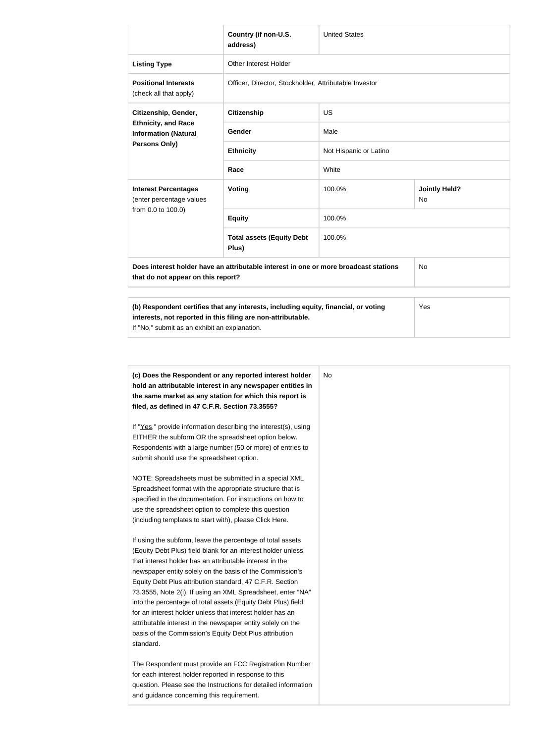|                                                                                                                                                     | Country (if non-U.S.<br>address)                                                     | <b>United States</b>                                  |                                   |  |  |  |
|-----------------------------------------------------------------------------------------------------------------------------------------------------|--------------------------------------------------------------------------------------|-------------------------------------------------------|-----------------------------------|--|--|--|
| <b>Listing Type</b>                                                                                                                                 | Other Interest Holder                                                                |                                                       |                                   |  |  |  |
| <b>Positional Interests</b><br>(check all that apply)                                                                                               |                                                                                      | Officer, Director, Stockholder, Attributable Investor |                                   |  |  |  |
| Citizenship, Gender,<br><b>Ethnicity, and Race</b><br><b>Information (Natural</b><br><b>Persons Only)</b>                                           | <b>Citizenship</b>                                                                   | <b>US</b>                                             |                                   |  |  |  |
|                                                                                                                                                     | Gender                                                                               | Male                                                  |                                   |  |  |  |
|                                                                                                                                                     | <b>Ethnicity</b>                                                                     | Not Hispanic or Latino                                |                                   |  |  |  |
|                                                                                                                                                     | Race                                                                                 | White                                                 |                                   |  |  |  |
| <b>Interest Percentages</b><br>(enter percentage values                                                                                             | <b>Voting</b>                                                                        | 100.0%                                                | <b>Jointly Held?</b><br><b>No</b> |  |  |  |
| from 0.0 to 100.0)                                                                                                                                  | <b>Equity</b>                                                                        | 100.0%                                                |                                   |  |  |  |
|                                                                                                                                                     | <b>Total assets (Equity Debt</b><br>Plus)                                            | 100.0%                                                |                                   |  |  |  |
| that do not appear on this report?                                                                                                                  | Does interest holder have an attributable interest in one or more broadcast stations |                                                       | No                                |  |  |  |
| (b) Respondent certifies that any interests, including equity, financial, or voting<br>interests, not reported in this filing are non-attributable. |                                                                                      |                                                       | Yes                               |  |  |  |

If "No," submit as an exhibit an explanation.

| (c) Does the Respondent or any reported interest holder<br>hold an attributable interest in any newspaper entities in<br>the same market as any station for which this report is | <b>No</b> |
|----------------------------------------------------------------------------------------------------------------------------------------------------------------------------------|-----------|
| filed, as defined in 47 C.F.R. Section 73.3555?                                                                                                                                  |           |
| If "Yes," provide information describing the interest(s), using                                                                                                                  |           |
| EITHER the subform OR the spreadsheet option below.                                                                                                                              |           |
| Respondents with a large number (50 or more) of entries to                                                                                                                       |           |
| submit should use the spreadsheet option.                                                                                                                                        |           |
| NOTE: Spreadsheets must be submitted in a special XML                                                                                                                            |           |
| Spreadsheet format with the appropriate structure that is                                                                                                                        |           |
| specified in the documentation. For instructions on how to                                                                                                                       |           |
| use the spreadsheet option to complete this question                                                                                                                             |           |
| (including templates to start with), please Click Here.                                                                                                                          |           |
| If using the subform, leave the percentage of total assets                                                                                                                       |           |
| (Equity Debt Plus) field blank for an interest holder unless                                                                                                                     |           |
| that interest holder has an attributable interest in the                                                                                                                         |           |
| newspaper entity solely on the basis of the Commission's                                                                                                                         |           |
| Equity Debt Plus attribution standard, 47 C.F.R. Section                                                                                                                         |           |
| 73.3555, Note 2(i). If using an XML Spreadsheet, enter "NA"                                                                                                                      |           |
| into the percentage of total assets (Equity Debt Plus) field                                                                                                                     |           |
| for an interest holder unless that interest holder has an                                                                                                                        |           |
| attributable interest in the newspaper entity solely on the                                                                                                                      |           |
| basis of the Commission's Equity Debt Plus attribution                                                                                                                           |           |
| standard.                                                                                                                                                                        |           |
| The Respondent must provide an FCC Registration Number                                                                                                                           |           |
| for each interest holder reported in response to this                                                                                                                            |           |
| question. Please see the Instructions for detailed information                                                                                                                   |           |
| and guidance concerning this requirement.                                                                                                                                        |           |